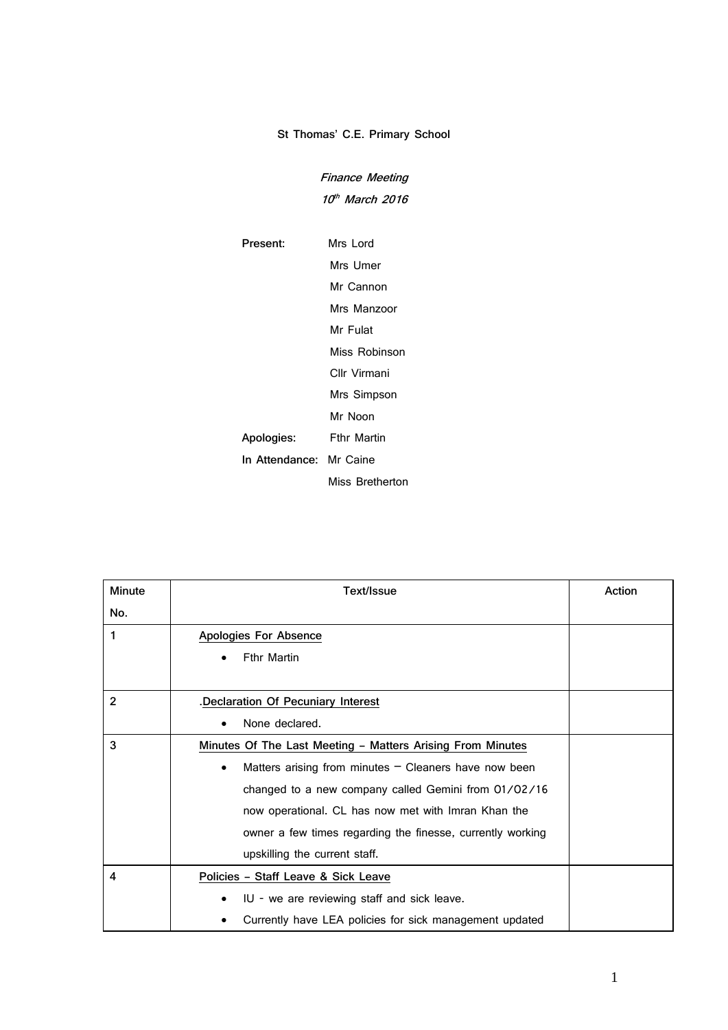## **St Thomas' C.E. Primary School**

**Finance Meeting 10 th March 2016**

**Present:** Mrs Lord Mrs Umer Mr Cannon Mrs Manzoor Mr Fulat Miss Robinson Cllr Virmani Mrs Simpson Mr Noon **Apologies:** Fthr Martin **In Attendance:** Mr Caine Miss Bretherton

| Minute         | Text/Issue                                                           | Action |
|----------------|----------------------------------------------------------------------|--------|
| No.            |                                                                      |        |
| 1              | Apologies For Absence                                                |        |
|                | <b>Fthr Martin</b>                                                   |        |
| $\overline{2}$ |                                                                      |        |
|                | .Declaration Of Pecuniary Interest                                   |        |
|                | None declared.                                                       |        |
| 3              | Minutes Of The Last Meeting - Matters Arising From Minutes           |        |
|                | Matters arising from minutes $-$ Cleaners have now been<br>$\bullet$ |        |
|                | changed to a new company called Gemini from 01/02/16                 |        |
|                | now operational. CL has now met with Imran Khan the                  |        |
|                | owner a few times regarding the finesse, currently working           |        |
|                | upskilling the current staff.                                        |        |
| 4              | Policies - Staff Leave & Sick Leave                                  |        |
|                | IU - we are reviewing staff and sick leave.                          |        |
|                | Currently have LEA policies for sick management updated              |        |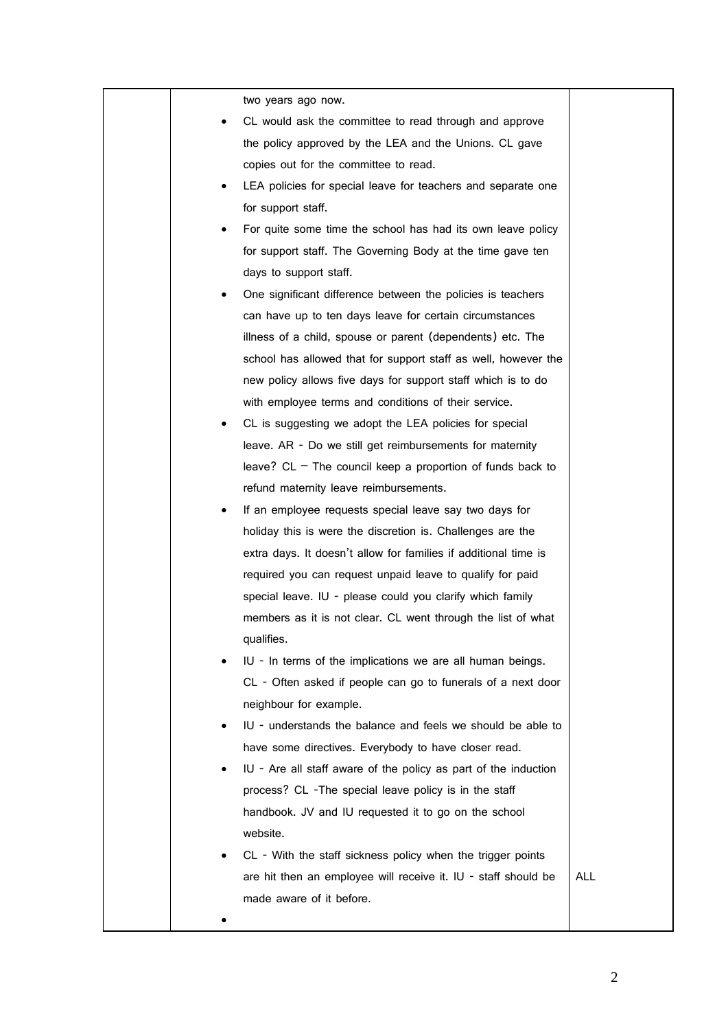| two years ago now.                                                   |            |
|----------------------------------------------------------------------|------------|
| CL would ask the committee to read through and approve               |            |
| the policy approved by the LEA and the Unions. CL gave               |            |
| copies out for the committee to read.                                |            |
| LEA policies for special leave for teachers and separate one         |            |
| for support staff.                                                   |            |
| For quite some time the school has had its own leave policy          |            |
| for support staff. The Governing Body at the time gave ten           |            |
| days to support staff.                                               |            |
| One significant difference between the policies is teachers          |            |
| can have up to ten days leave for certain circumstances              |            |
| illness of a child, spouse or parent (dependents) etc. The           |            |
| school has allowed that for support staff as well, however the       |            |
| new policy allows five days for support staff which is to do         |            |
| with employee terms and conditions of their service.                 |            |
| CL is suggesting we adopt the LEA policies for special<br>٠          |            |
| leave. AR - Do we still get reimbursements for maternity             |            |
| leave? CL $-$ The council keep a proportion of funds back to         |            |
| refund maternity leave reimbursements.                               |            |
| If an employee requests special leave say two days for<br>٠          |            |
| holiday this is were the discretion is. Challenges are the           |            |
| extra days. It doesn't allow for families if additional time is      |            |
| required you can request unpaid leave to qualify for paid            |            |
| special leave. IU - please could you clarify which family            |            |
| members as it is not clear. CL went through the list of what         |            |
| qualifies.                                                           |            |
| IU - In terms of the implications we are all human beings.           |            |
| CL - Often asked if people can go to funerals of a next door         |            |
| neighbour for example.                                               |            |
| IU - understands the balance and feels we should be able to          |            |
| have some directives. Everybody to have closer read.                 |            |
| IU - Are all staff aware of the policy as part of the induction<br>٠ |            |
| process? CL -The special leave policy is in the staff                |            |
| handbook. JV and IU requested it to go on the school                 |            |
| website.                                                             |            |
| CL - With the staff sickness policy when the trigger points          |            |
| are hit then an employee will receive it. IU - staff should be       | <b>ALL</b> |
| made aware of it before.                                             |            |
|                                                                      |            |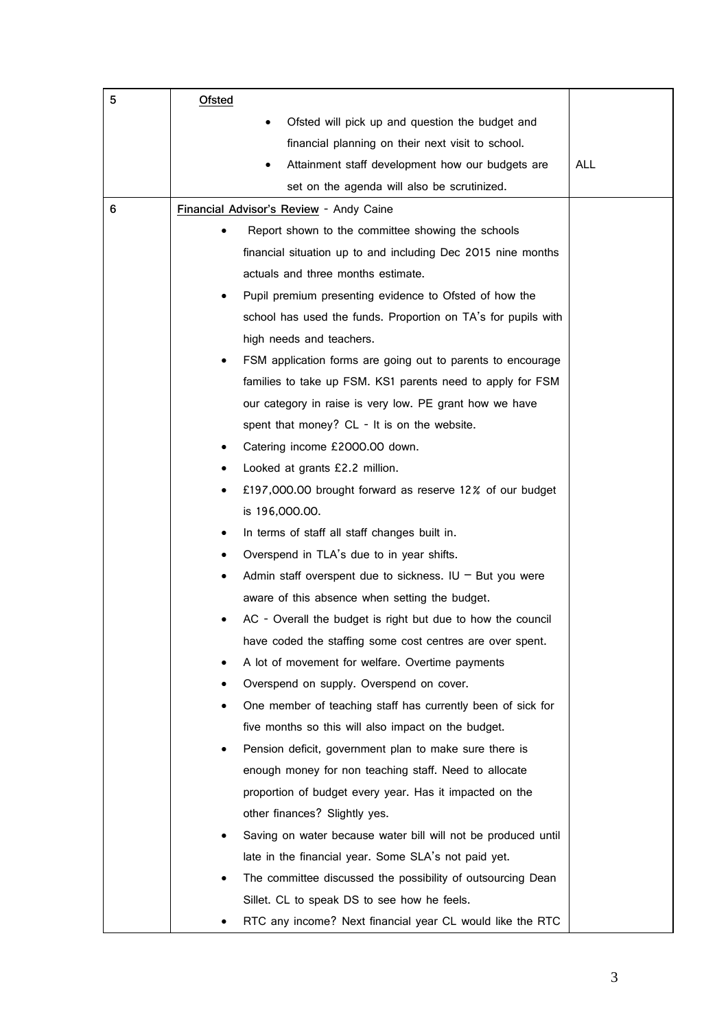| 5 | Ofsted                                                          |            |
|---|-----------------------------------------------------------------|------------|
|   | Ofsted will pick up and question the budget and                 |            |
|   | financial planning on their next visit to school.               |            |
|   | Attainment staff development how our budgets are                | <b>ALL</b> |
|   | set on the agenda will also be scrutinized.                     |            |
| 6 | Financial Advisor's Review - Andy Caine                         |            |
|   | Report shown to the committee showing the schools               |            |
|   | financial situation up to and including Dec 2015 nine months    |            |
|   | actuals and three months estimate.                              |            |
|   | Pupil premium presenting evidence to Ofsted of how the          |            |
|   | school has used the funds. Proportion on TA's for pupils with   |            |
|   | high needs and teachers.                                        |            |
|   | FSM application forms are going out to parents to encourage     |            |
|   | families to take up FSM. KS1 parents need to apply for FSM      |            |
|   | our category in raise is very low. PE grant how we have         |            |
|   | spent that money? CL - It is on the website.                    |            |
|   | Catering income £2000.00 down.                                  |            |
|   | Looked at grants £2.2 million.                                  |            |
|   | £197,000.00 brought forward as reserve 12% of our budget        |            |
|   | is 196,000.00.                                                  |            |
|   | In terms of staff all staff changes built in.<br>٠              |            |
|   | Overspend in TLA's due to in year shifts.                       |            |
|   | Admin staff overspent due to sickness. IU $-$ But you were<br>٠ |            |
|   | aware of this absence when setting the budget.                  |            |
|   | AC - Overall the budget is right but due to how the council     |            |
|   | have coded the staffing some cost centres are over spent.       |            |
|   | A lot of movement for welfare. Overtime payments                |            |
|   | Overspend on supply. Overspend on cover.                        |            |
|   | One member of teaching staff has currently been of sick for     |            |
|   | five months so this will also impact on the budget.             |            |
|   | Pension deficit, government plan to make sure there is          |            |
|   | enough money for non teaching staff. Need to allocate           |            |
|   | proportion of budget every year. Has it impacted on the         |            |
|   | other finances? Slightly yes.                                   |            |
|   | Saving on water because water bill will not be produced until   |            |
|   | late in the financial year. Some SLA's not paid yet.            |            |
|   | The committee discussed the possibility of outsourcing Dean     |            |
|   | Sillet. CL to speak DS to see how he feels.                     |            |
|   | RTC any income? Next financial year CL would like the RTC       |            |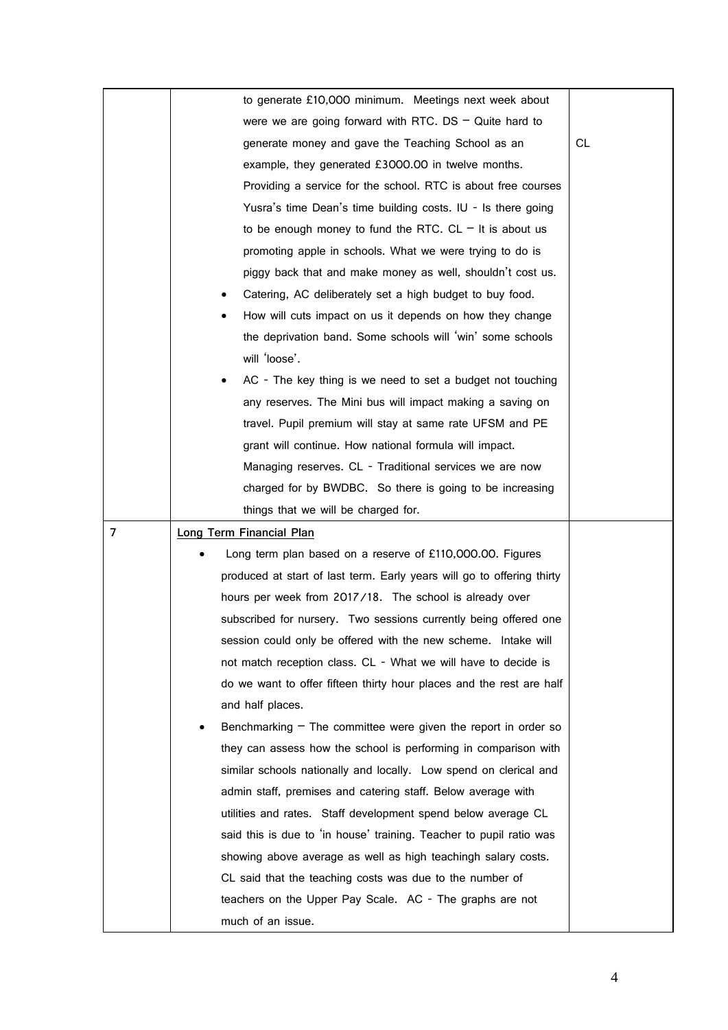|   | to generate £10,000 minimum. Meetings next week about                  |     |  |
|---|------------------------------------------------------------------------|-----|--|
|   | were we are going forward with RTC. DS $-$ Quite hard to               |     |  |
|   | generate money and gave the Teaching School as an                      | CL. |  |
|   | example, they generated £3000.00 in twelve months.                     |     |  |
|   | Providing a service for the school. RTC is about free courses          |     |  |
|   | Yusra's time Dean's time building costs. IU - Is there going           |     |  |
|   | to be enough money to fund the RTC. CL $-$ It is about us              |     |  |
|   | promoting apple in schools. What we were trying to do is               |     |  |
|   | piggy back that and make money as well, shouldn't cost us.             |     |  |
|   | Catering, AC deliberately set a high budget to buy food.               |     |  |
|   | How will cuts impact on us it depends on how they change               |     |  |
|   | the deprivation band. Some schools will 'win' some schools             |     |  |
|   | will 'loose'.                                                          |     |  |
|   | AC - The key thing is we need to set a budget not touching             |     |  |
|   | any reserves. The Mini bus will impact making a saving on              |     |  |
|   | travel. Pupil premium will stay at same rate UFSM and PE               |     |  |
|   | grant will continue. How national formula will impact.                 |     |  |
|   | Managing reserves. CL - Traditional services we are now                |     |  |
|   | charged for by BWDBC. So there is going to be increasing               |     |  |
|   | things that we will be charged for.                                    |     |  |
| 7 | Long Term Financial Plan                                               |     |  |
|   | Long term plan based on a reserve of £110,000.00. Figures              |     |  |
|   | produced at start of last term. Early years will go to offering thirty |     |  |
|   | hours per week from 2017/18. The school is already over                |     |  |
|   | subscribed for nursery. Two sessions currently being offered one       |     |  |
|   | session could only be offered with the new scheme. Intake will         |     |  |
|   | not match reception class. CL - What we will have to decide is         |     |  |
|   | do we want to offer fifteen thirty hour places and the rest are half   |     |  |
|   | and half places.                                                       |     |  |
|   | Benchmarking $-$ The committee were given the report in order so       |     |  |
|   | they can assess how the school is performing in comparison with        |     |  |
|   | similar schools nationally and locally. Low spend on clerical and      |     |  |
|   | admin staff, premises and catering staff. Below average with           |     |  |
|   | utilities and rates. Staff development spend below average CL          |     |  |
|   | said this is due to 'in house' training. Teacher to pupil ratio was    |     |  |
|   | showing above average as well as high teachingh salary costs.          |     |  |
|   | CL said that the teaching costs was due to the number of               |     |  |
|   | teachers on the Upper Pay Scale. AC - The graphs are not               |     |  |
|   | much of an issue.                                                      |     |  |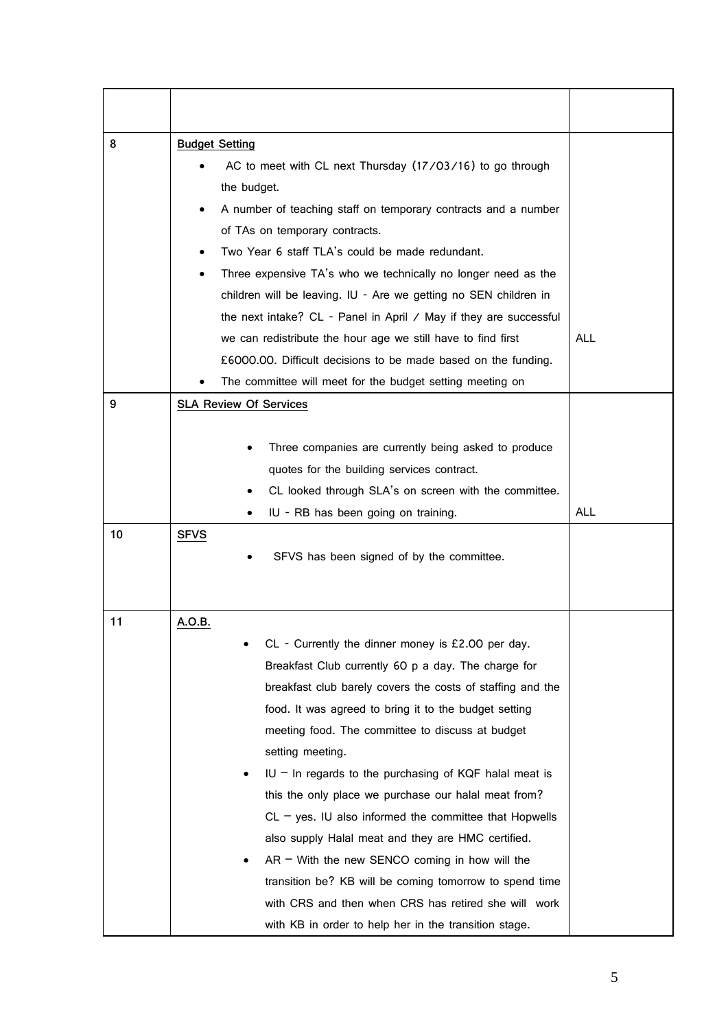| 8  | <b>Budget Setting</b><br>AC to meet with CL next Thursday (17/03/16) to go through<br>the budget.<br>A number of teaching staff on temporary contracts and a number<br>of TAs on temporary contracts.<br>Two Year 6 staff TLA's could be made redundant.<br>Three expensive TA's who we technically no longer need as the<br>children will be leaving. IU - Are we getting no SEN children in<br>the next intake? CL - Panel in April / May if they are successful<br>we can redistribute the hour age we still have to find first<br>£6000.00. Difficult decisions to be made based on the funding.                                                                                                                                                                                     | <b>ALL</b> |
|----|------------------------------------------------------------------------------------------------------------------------------------------------------------------------------------------------------------------------------------------------------------------------------------------------------------------------------------------------------------------------------------------------------------------------------------------------------------------------------------------------------------------------------------------------------------------------------------------------------------------------------------------------------------------------------------------------------------------------------------------------------------------------------------------|------------|
| 9  | The committee will meet for the budget setting meeting on<br><b>SLA Review Of Services</b>                                                                                                                                                                                                                                                                                                                                                                                                                                                                                                                                                                                                                                                                                               |            |
| 10 | Three companies are currently being asked to produce<br>quotes for the building services contract.<br>CL looked through SLA's on screen with the committee.<br>IU - RB has been going on training.<br><b>SFVS</b><br>SFVS has been signed of by the committee.                                                                                                                                                                                                                                                                                                                                                                                                                                                                                                                           | <b>ALL</b> |
| 11 | A.O.B.<br>CL - Currently the dinner money is £2.00 per day.<br>Breakfast Club currently 60 p a day. The charge for<br>breakfast club barely covers the costs of staffing and the<br>food. It was agreed to bring it to the budget setting<br>meeting food. The committee to discuss at budget<br>setting meeting.<br>$IU$ – In regards to the purchasing of KQF halal meat is<br>this the only place we purchase our halal meat from?<br>$CL - yes$ . IU also informed the committee that Hopwells<br>also supply Halal meat and they are HMC certified.<br>$AR - With$ the new SENCO coming in how will the<br>transition be? KB will be coming tomorrow to spend time<br>with CRS and then when CRS has retired she will work<br>with KB in order to help her in the transition stage. |            |